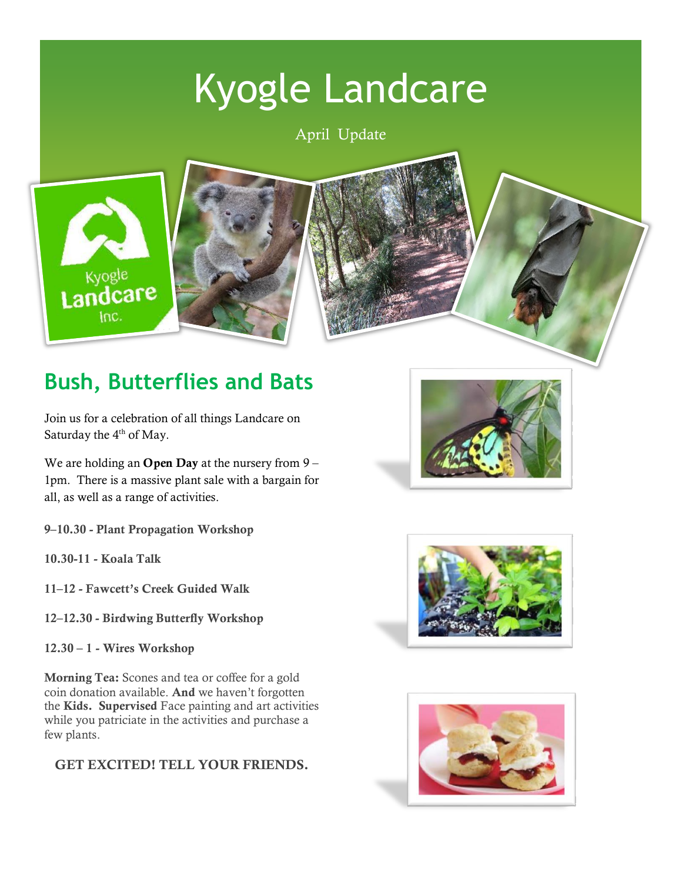# Kyogle Landcare

April Update





# **Bush, Butterflies and Bats**

Join us for a celebration of all things Landcare on Saturday the 4<sup>th</sup> of May.

We are holding an **Open Day** at the nursery from  $9 -$ 1pm. There is a massive plant sale with a bargain for all, as well as a range of activities.

9–10.30 - Plant Propagation Workshop

10.30-11 - Koala Talk

11–12 - Fawcett's Creek Guided Walk

- 12–12.30 Birdwing Butterfly Workshop
- 12.30 1 Wires Workshop

Morning Tea: Scones and tea or coffee for a gold coin donation available. And we haven't forgotten the Kids. Supervised Face painting and art activities while you patriciate in the activities and purchase a few plants.

#### GET EXCITED! TELL YOUR FRIENDS.





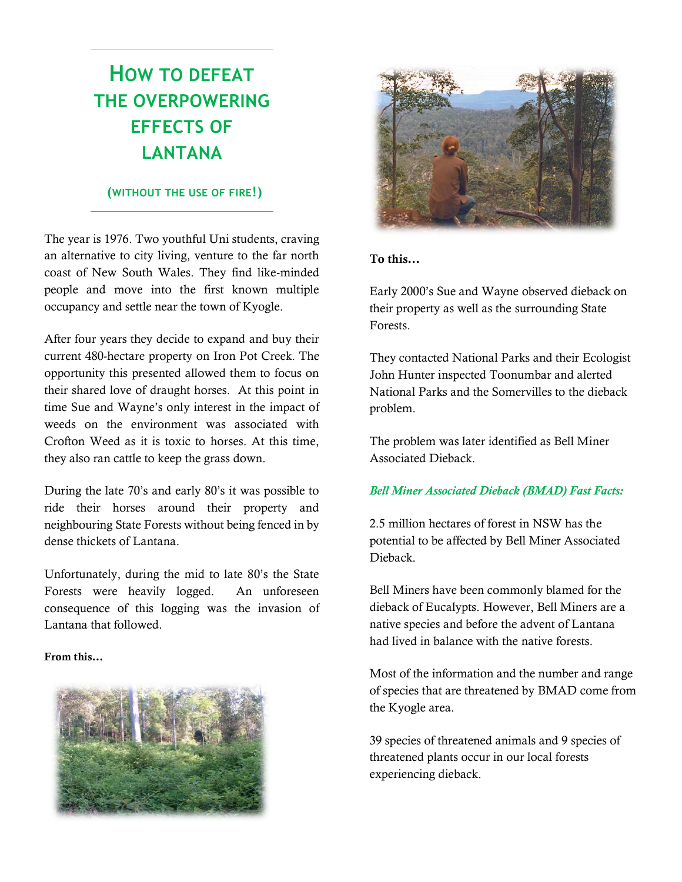### **HOW TO DEFEAT THE OVERPOWERING EFFECTS OF LANTANA**

#### **(WITHOUT THE USE OF FIRE!)**

The year is 1976. Two youthful Uni students, craving an alternative to city living, venture to the far north coast of New South Wales. They find like-minded people and move into the first known multiple occupancy and settle near the town of Kyogle.

After four years they decide to expand and buy their current 480-hectare property on Iron Pot Creek. The opportunity this presented allowed them to focus on their shared love of draught horses. At this point in time Sue and Wayne's only interest in the impact of weeds on the environment was associated with Crofton Weed as it is toxic to horses. At this time, they also ran cattle to keep the grass down.

During the late 70's and early 80's it was possible to ride their horses around their property and neighbouring State Forests without being fenced in by dense thickets of Lantana.

Unfortunately, during the mid to late 80's the State Forests were heavily logged. An unforeseen consequence of this logging was the invasion of Lantana that followed.

#### From this…





#### To this…

Early 2000's Sue and Wayne observed dieback on their property as well as the surrounding State Forests.

They contacted National Parks and their Ecologist John Hunter inspected Toonumbar and alerted National Parks and the Somervilles to the dieback problem.

The problem was later identified as Bell Miner Associated Dieback.

#### *Bell Miner Associated Dieback (BMAD) Fast Facts:*

2.5 million hectares of forest in NSW has the potential to be affected by Bell Miner Associated Dieback.

Bell Miners have been commonly blamed for the dieback of Eucalypts. However, Bell Miners are a native species and before the advent of Lantana had lived in balance with the native forests.

Most of the information and the number and range of species that are threatened by BMAD come from the Kyogle area.

39 species of threatened animals and 9 species of threatened plants occur in our local forests experiencing dieback.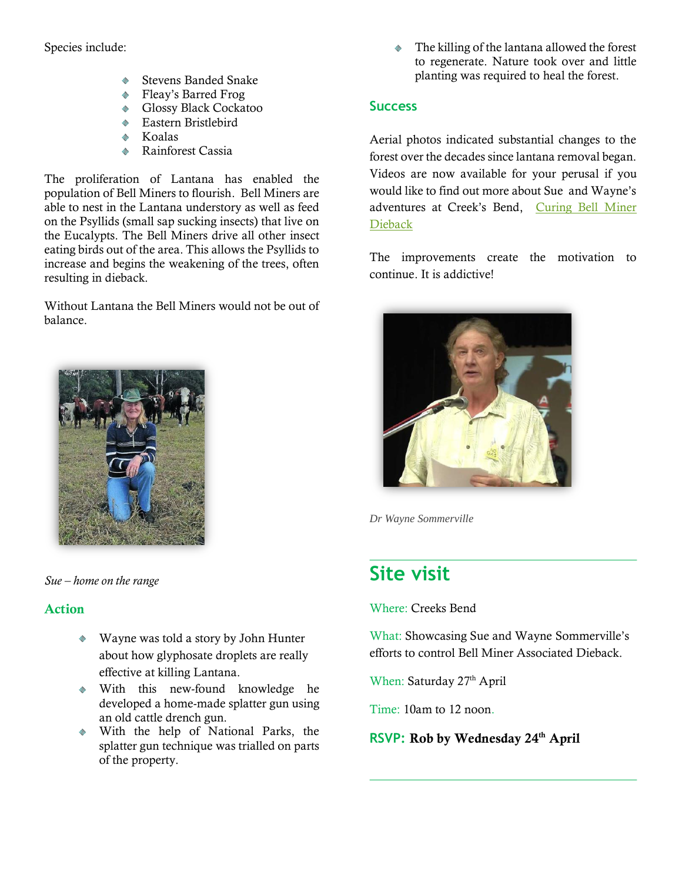Species include:

- $\bullet$ Stevens Banded Snake
- Fleay's Barred Frog
- ◆ Glossy Black Cockatoo
- ◆ Eastern Bristlebird
- Koalas  $\bullet$
- Rainforest Cassia  $\bullet$

The proliferation of Lantana has enabled the population of Bell Miners to flourish. Bell Miners are able to nest in the Lantana understory as well as feed on the Psyllids (small sap sucking insects) that live on the Eucalypts. The Bell Miners drive all other insect eating birds out of the area. This allows the Psyllids to increase and begins the weakening of the trees, often resulting in dieback.

Without Lantana the Bell Miners would not be out of balance.



*Sue – home on the range*

#### Action

- Wayne was told a story by John Hunter about how glyphosate droplets are really effective at killing Lantana.
- With this new-found knowledge he developed a home-made splatter gun using an old cattle drench gun.
- With the help of National Parks, the splatter gun technique was trialled on parts of the property.

The killing of the lantana allowed the forest to regenerate. Nature took over and little planting was required to heal the forest.

#### **Success**

Aerial photos indicated substantial changes to the forest over the decades since lantana removal began. Videos are now available for your perusal if you would like to find out more about Sue and Wayne's adventures at Creek's Bend, [Curing Bell Miner](https://www.youtube.com/watch?v=s4zINkKPESU)  [Dieback](https://www.youtube.com/watch?v=s4zINkKPESU) 

The improvements create the motivation to continue. It is addictive!



*Dr Wayne Sommerville*

### **Site visit**

Where: Creeks Bend

What: Showcasing Sue and Wayne Sommerville's efforts to control Bell Miner Associated Dieback.

When: Saturday 27<sup>th</sup> April

Time: 10am to 12 noon.

**RSVP: Rob by Wednesday 24th April**